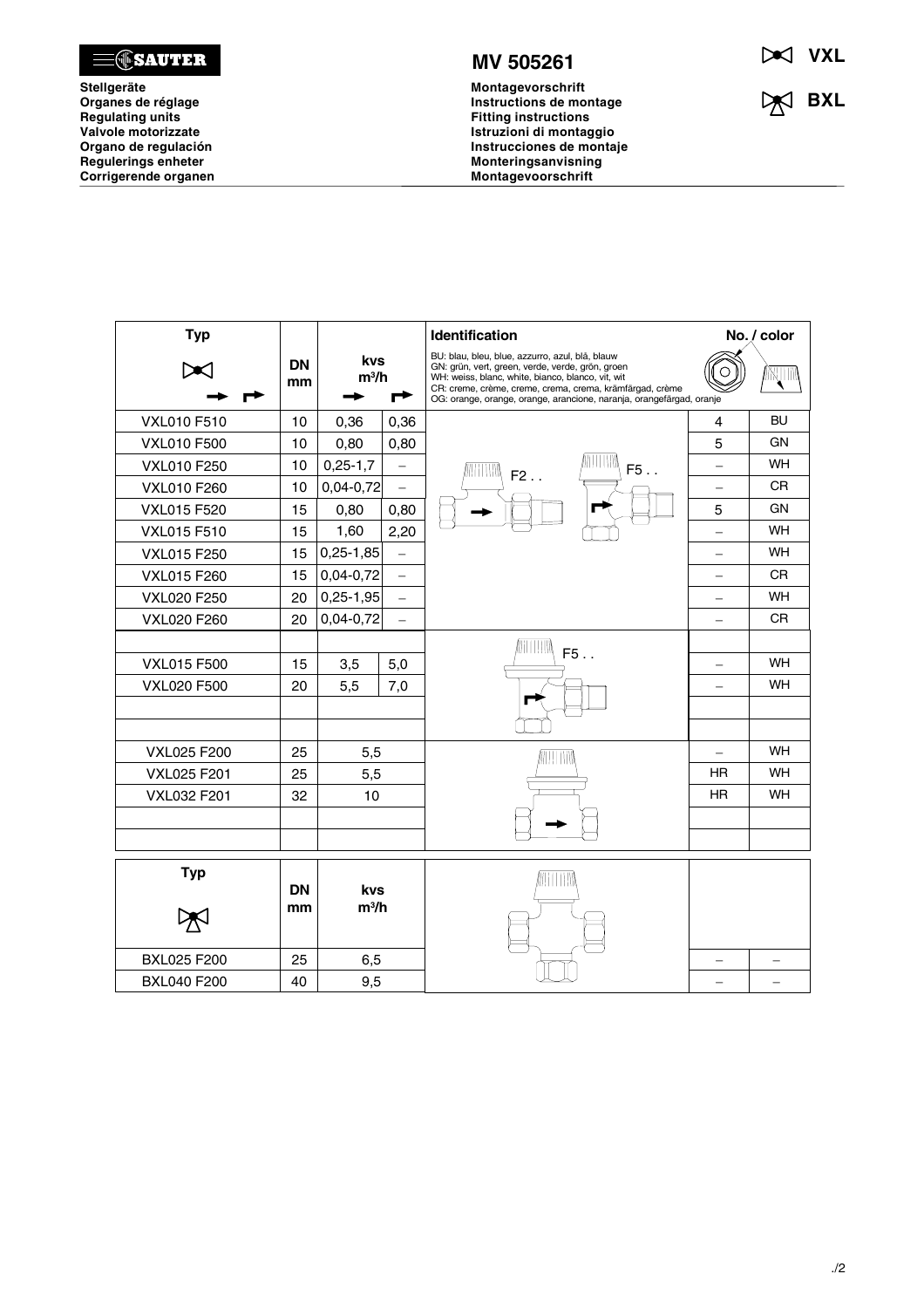

**Stellgeräte Organes de réglage Regulating units Valvole motorizzate Organo de regulación Regulerings enheter Corrigerende organen**



**Montagevorschrift Instructions de montage Fitting instructions Istruzioni di montaggio Instrucciones de montaje Monteringsanvisning Montagevoorschrift**

**VXL**

**BXL** 

| <b>Typ</b>         |                 | kvs<br>$m^3/h$<br>┍   |                          | <b>Identification</b>                                                                                                                                                                                                                                                                        | No. / color              |           |
|--------------------|-----------------|-----------------------|--------------------------|----------------------------------------------------------------------------------------------------------------------------------------------------------------------------------------------------------------------------------------------------------------------------------------------|--------------------------|-----------|
|                    | <b>DN</b><br>mm |                       |                          | BU: blau, bleu, blue, azzurro, azul, blå, blauw<br>GN: grün, vert, green, verde, verde, grön, groen<br>WH: weiss, blanc, white, bianco, blanco, vit, wit<br>CR: creme, crème, creme, crema, crema, krämfärgad, crème<br>OG: orange, orange, orange, arancione, naranja, orangefärgad, oranje |                          | MVIIII    |
| <b>VXL010 F510</b> | 10              | 0,36                  | 0,36                     |                                                                                                                                                                                                                                                                                              | 4                        | <b>BU</b> |
| <b>VXL010 F500</b> | 10              | 0,80                  | 0,80                     |                                                                                                                                                                                                                                                                                              | 5                        | GN        |
| <b>VXL010 F250</b> | 10              | $0,25-1,7$            | $\overline{\phantom{0}}$ | IIIIW<br>TITIMA<br>F5.<br>$F2$ .                                                                                                                                                                                                                                                             | $\overline{\phantom{0}}$ | <b>WH</b> |
| <b>VXL010 F260</b> | 10              | $0,04 - 0,72$         | $\overline{\phantom{0}}$ |                                                                                                                                                                                                                                                                                              | $\overline{\phantom{0}}$ | <b>CR</b> |
| <b>VXL015 F520</b> | 15              | 0,80                  | 0,80                     |                                                                                                                                                                                                                                                                                              | 5                        | GΝ        |
| <b>VXL015 F510</b> | 15              | 1,60                  | 2,20                     |                                                                                                                                                                                                                                                                                              | —                        | <b>WH</b> |
| <b>VXL015 F250</b> | 15              | $0,25-1,85$           | $\qquad \qquad -$        |                                                                                                                                                                                                                                                                                              | $\qquad \qquad -$        | <b>WH</b> |
| <b>VXL015 F260</b> | 15              | $0,04-0,72$           | $\equiv$                 |                                                                                                                                                                                                                                                                                              | -                        | <b>CR</b> |
| <b>VXL020 F250</b> | 20              | $0,25-1,95$           | $\overline{\phantom{0}}$ |                                                                                                                                                                                                                                                                                              | $\overline{\phantom{0}}$ | <b>WH</b> |
| VXL020 F260        | 20              | $0,04 - 0,72$         | $\overline{\phantom{0}}$ |                                                                                                                                                                                                                                                                                              |                          | <b>CR</b> |
|                    |                 |                       |                          | ANTITININ                                                                                                                                                                                                                                                                                    |                          |           |
| <b>VXL015 F500</b> | 15              | 3,5                   | 5,0                      | F5.                                                                                                                                                                                                                                                                                          | $\overline{\phantom{0}}$ | WH        |
| <b>VXL020 F500</b> | 20              | 5,5                   | 7,0                      |                                                                                                                                                                                                                                                                                              |                          | <b>WH</b> |
|                    |                 |                       |                          |                                                                                                                                                                                                                                                                                              |                          |           |
|                    |                 |                       |                          |                                                                                                                                                                                                                                                                                              |                          |           |
| <b>VXL025 F200</b> | 25              | 5,5                   |                          | WITTIN                                                                                                                                                                                                                                                                                       | $\overline{\phantom{0}}$ | WH        |
| <b>VXL025 F201</b> | 25              | 5,5                   |                          |                                                                                                                                                                                                                                                                                              | <b>HR</b>                | <b>WH</b> |
| <b>VXL032 F201</b> | 32              | 10                    |                          |                                                                                                                                                                                                                                                                                              | ΗR                       | <b>WH</b> |
|                    |                 |                       |                          |                                                                                                                                                                                                                                                                                              |                          |           |
|                    |                 |                       |                          |                                                                                                                                                                                                                                                                                              |                          |           |
| <b>Typ</b>         |                 |                       |                          |                                                                                                                                                                                                                                                                                              |                          |           |
|                    | <b>DN</b><br>mm | <b>kvs</b><br>$m^3/h$ |                          |                                                                                                                                                                                                                                                                                              |                          |           |
|                    |                 |                       |                          |                                                                                                                                                                                                                                                                                              |                          |           |
| <b>BXL025 F200</b> | 25              | 6,5                   |                          |                                                                                                                                                                                                                                                                                              |                          |           |
| <b>BXL040 F200</b> | 40              | 9,5                   |                          |                                                                                                                                                                                                                                                                                              |                          |           |